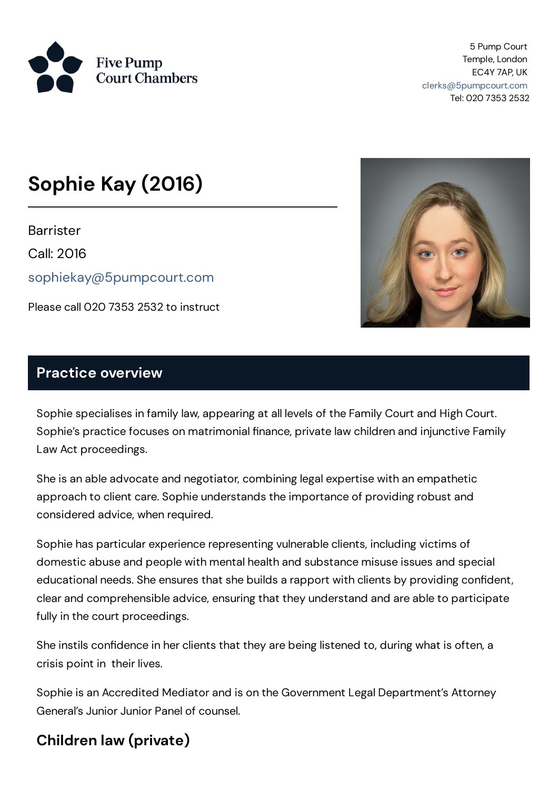

5 Pump Court Temple, London EC4Y 7AP, UK [clerks@5pumpcourt.com](mailto:clerks@5pumpcourt.com) Tel: 020 7353 2532

# **Sophie Kay (2016)**

**Barrister** Call: 2016 [sophiekay@5pumpcourt.com](mailto:sophiekay@5pumpcourt.com)

Please call 020 7353 2532 to instruct



#### **Practice overview**

Sophie specialises in family law, appearing at all levels of the Family Court and High Court. Sophie's practice focuses on matrimonial finance, private law children and injunctive Family Law Act proceedings.

She is an able advocate and negotiator, combining legal expertise with an empathetic approach to client care. Sophie understands the importance of providing robust and considered advice, when required.

Sophie has particular experience representing vulnerable clients, including victims of domestic abuse and people with mental health and substance misuse issues and special educational needs. She ensures that she builds a rapport with clients by providing confident, clear and comprehensible advice, ensuring that they understand and are able to participate fully in the court proceedings.

She instils confidence in her clients that they are being listened to, during what is often, a crisis point in their lives.

Sophie is an Accredited Mediator and is on the Government Legal Department's Attorney General's Junior Junior Panel of counsel.

## **Children law (private)**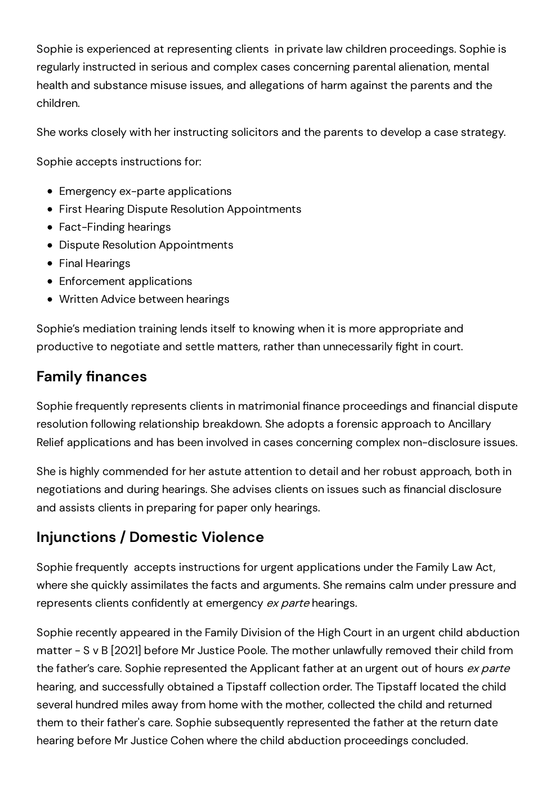Sophie is experienced at representing clients in private law children proceedings. Sophie is regularly instructed in serious and complex cases concerning parental alienation, mental health and substance misuse issues, and allegations of harm against the parents and the children.

She works closely with her instructing solicitors and the parents to develop a case strategy.

Sophie accepts instructions for:

- Emergency ex-parte applications
- **First Hearing Dispute Resolution Appointments**
- Fact-Finding hearings
- Dispute Resolution Appointments
- Final Hearings
- Enforcement applications
- Written Advice between hearings

Sophie's mediation training lends itself to knowing when it is more appropriate and productive to negotiate and settle matters, rather than unnecessarily fight in court.

## **Family finances**

Sophie frequently represents clients in matrimonial finance proceedings and financial dispute resolution following relationship breakdown. She adopts a forensic approach to Ancillary Relief applications and has been involved in cases concerning complex non-disclosure issues.

She is highly commended for her astute attention to detail and her robust approach, both in negotiations and during hearings. She advises clients on issues such as financial disclosure and assists clients in preparing for paper only hearings.

# **Injunctions / Domestic Violence**

Sophie frequently accepts instructions for urgent applications under the Family Law Act, where she quickly assimilates the facts and arguments. She remains calm under pressure and represents clients confidently at emergency ex parte hearings.

Sophie recently appeared in the Family Division of the High Court in an urgent child abduction matter - S v B [2021] before Mr Justice Poole. The mother unlawfully removed their child from the father's care. Sophie represented the Applicant father at an urgent out of hours ex parte hearing, and successfully obtained a Tipstaff collection order. The Tipstaff located the child several hundred miles away from home with the mother, collected the child and returned them to their father's care. Sophie subsequently represented the father at the return date hearing before Mr Justice Cohen where the child abduction proceedings concluded.